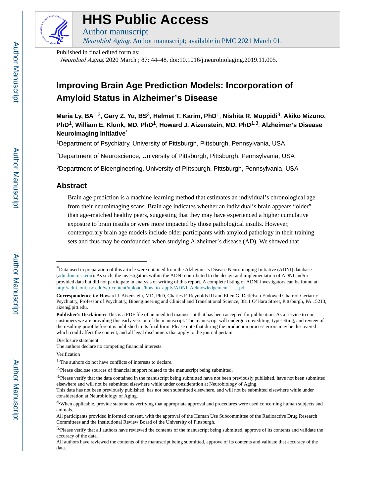

# **HHS Public Access**

Author manuscript Neurobiol Aging. Author manuscript; available in PMC 2021 March 01.

Published in final edited form as:

Neurobiol Aging. 2020 March ; 87: 44–48. doi:10.1016/j.neurobiolaging.2019.11.005.

## **Improving Brain Age Prediction Models: Incorporation of Amyloid Status in Alzheimer's Disease**

**Maria Ly, BA**1,2, **Gary Z. Yu, BS**3, **Helmet T. Karim, PhD**1, **Nishita R. Muppidi**3, **Akiko Mizuno, PhD**1, **William E. Klunk, MD, PhD**1, **Howard J. Aizenstein, MD, PhD**1,3, **Alzheimer's Disease Neuroimaging Initiative**\*

<sup>1</sup>Department of Psychiatry, University of Pittsburgh, Pittsburgh, Pennsylvania, USA

<sup>2</sup>Department of Neuroscience, University of Pittsburgh, Pittsburgh, Pennsylvania, USA

<sup>3</sup>Department of Bioengineering, University of Pittsburgh, Pittsburgh, Pennsylvania, USA

## **Abstract**

Brain age prediction is a machine learning method that estimates an individual's chronological age from their neuroimaging scans. Brain age indicates whether an individual's brain appears "older" than age-matched healthy peers, suggesting that they may have experienced a higher cumulative exposure to brain insults or were more impacted by those pathological insults. However, contemporary brain age models include older participants with amyloid pathology in their training sets and thus may be confounded when studying Alzheimer's disease (AD). We showed that

Disclosure statement

Verification

<sup>\*</sup>Data used in preparation of this article were obtained from the Alzheimer's Disease Neuroimaging Initiative (ADNI) database ([adni.loni.usc.edu](http://adni.loni.usc.edu)). As such, the investigators within the ADNI contributed to the design and implementation of ADNI and/or provided data but did not participate in analysis or writing of this report. A complete listing of ADNI investigators can be found at: [http://adni.loni.usc.edu/wp-content/uploads/how\\_to\\_apply/ADNI\\_Acknowledgement\\_List.pdf](http://adni.loni.usc.edu/wp-content/uploads/how_to_apply/ADNI_Acknowledgement_List.pdf)

**Correspondence to:** Howard J. Aizenstein, MD, PhD, Charles F. Reynolds III and Ellen G. Detlefsen Endowed Chair of Geriatric Psychiatry, Professor of Psychiatry, Bioengineering and Clinical and Translational Science, 3811 O'Hara Street, Pittsburgh, PA 15213, aizen@pitt.edu.

**Publisher's Disclaimer:** This is a PDF file of an unedited manuscript that has been accepted for publication. As a service to our customers we are providing this early version of the manuscript. The manuscript will undergo copyediting, typesetting, and review of the resulting proof before it is published in its final form. Please note that during the production process errors may be discovered which could affect the content, and all legal disclaimers that apply to the journal pertain.

The authors declare no competing financial interests.

<sup>1.</sup>The authors do not have conflicts of interests to declare.

<sup>2.</sup>Please disclose sources of financial support related to the manuscript being submitted.

<sup>3.</sup>Please verify that the data contained in the manuscript being submitted have not been previously published, have not been submitted elsewhere and will not be submitted elsewhere while under consideration at Neurobiology of Aging.

This data has not been previously published, has not been submitted elsewhere, and will not be submitted elsewhere while under consideration at Neurobiology of Aging.

<sup>4.</sup>When applicable, provide statements verifying that appropriate approval and procedures were used concerning human subjects and animals.

All participants provided informed consent, with the approval of the Human Use Subcommittee of the Radioactive Drug Research Committees and the Institutional Review Board of the University of Pittsburgh.

<sup>5.</sup>Please verify that all authors have reviewed the contents of the manuscript being submitted, approve of its contents and validate the accuracy of the data.

All authors have reviewed the contents of the manuscript being submitted, approve of its contents and validate that accuracy of the data.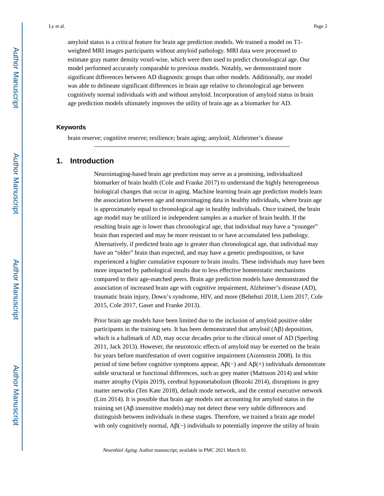amyloid status is a critical feature for brain age prediction models. We trained a model on T1 weighted MRI images participants without amyloid pathology. MRI data were processed to estimate gray matter density voxel-wise, which were then used to predict chronological age. Our model performed accurately comparable to previous models. Notably, we demonstrated more significant differences between AD diagnostic groups than other models. Additionally, our model was able to delineate significant differences in brain age relative to chronological age between cognitively normal individuals with and without amyloid. Incorporation of amyloid status in brain age prediction models ultimately improves the utility of brain age as a biomarker for AD.

#### **Keywords**

brain reserve; cognitive reserve; resilience; brain aging; amyloid; Alzheimer's disease

#### **1. Introduction**

Neuroimaging-based brain age prediction may serve as a promising, individualized biomarker of brain health (Cole and Franke 2017) to understand the highly heterogeneous biological changes that occur in aging. Machine learning brain age prediction models learn the association between age and neuroimaging data in healthy individuals, where brain age is approximately equal to chronological age in healthy individuals. Once trained, the brain age model may be utilized in independent samples as a marker of brain health. If the resulting brain age is lower than chronological age, that individual may have a "younger" brain than expected and may be more resistant to or have accumulated less pathology. Alternatively, if predicted brain age is greater than chronological age, that individual may have an "older" brain than expected, and may have a genetic predisposition, or have experienced a higher cumulative exposure to brain insults. These individuals may have been more impacted by pathological insults due to less effective homeostatic mechanisms compared to their age-matched peers. Brain age prediction models have demonstrated the association of increased brain age with cognitive impairment, Alzheimer's disease (AD), traumatic brain injury, Down's syndrome, HIV, and more (Behehsti 2018, Liem 2017, Cole 2015, Cole 2017, Gaser and Franke 2013).

Prior brain age models have been limited due to the inclusion of amyloid positive older participants in the training sets. It has been demonstrated that amyloid  $(A\beta)$  deposition, which is a hallmark of AD, may occur decades prior to the clinical onset of AD (Sperling 2011, Jack 2013). However, the neurotoxic effects of amyloid may be exerted on the brain for years before manifestation of overt cognitive impairment (Aizenstein 2008). In this period of time before cognitive symptoms appear, Aβ(−) and Aβ(+) individuals demonstrate subtle structural or functional differences, such as grey matter (Mattsson 2014) and white matter atrophy (Vipin 2019), cerebral hypometabolism (Bozoki 2014), disruptions in grey matter networks (Ten Kate 2018), default mode network, and the central executive network (Lim 2014). It is possible that brain age models not accounting for amyloid status in the training set (Aβ insensitive models) may not detect these very subtle differences and distinguish between individuals in these stages. Therefore, we trained a brain age model with only cognitively normal,  $\mathbf{A}\mathbf{\beta}(-)$  individuals to potentially improve the utility of brain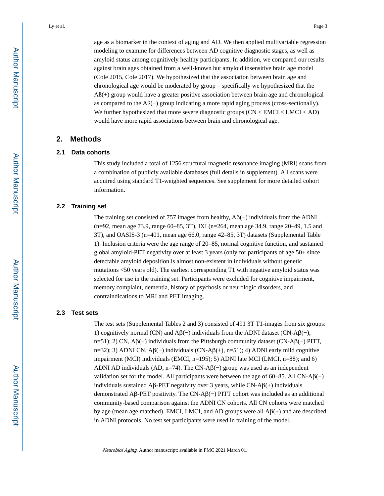age as a biomarker in the context of aging and AD. We then applied multivariable regression modeling to examine for differences between AD cognitive diagnostic stages, as well as amyloid status among cognitively healthy participants. In addition, we compared our results against brain ages obtained from a well-known but amyloid insensitive brain age model (Cole 2015, Cole 2017). We hypothesized that the association between brain age and chronological age would be moderated by group – specifically we hypothesized that the Aß(+) group would have a greater positive association between brain age and chronological as compared to the Aß(−) group indicating a more rapid aging process (cross-sectionally). We further hypothesized that more severe diagnostic groups (CN < EMCI < LMCI < AD) would have more rapid associations between brain and chronological age.

#### **2. Methods**

#### **2.1 Data cohorts**

This study included a total of 1256 structural magnetic resonance imaging (MRI) scans from a combination of publicly available databases (full details in supplement). All scans were acquired using standard T1-weighted sequences. See supplement for more detailed cohort information.

#### **2.2 Training set**

The training set consisted of 757 images from healthy,  $A\beta$ (−) individuals from the ADNI (n=92, mean age 73.9, range 60–85, 3T), IXI (n=264, mean age 34.9, range 20–49, 1.5 and 3T), and OASIS-3 (n=401, mean age 66.0, range 42–85, 3T) datasets (Supplemental Table 1). Inclusion criteria were the age range of 20–85, normal cognitive function, and sustained global amyloid-PET negativity over at least 3 years (only for participants of age 50+ since detectable amyloid deposition is almost non-existent in individuals without genetic mutations <50 years old). The earliest corresponding T1 with negative amyloid status was selected for use in the training set. Participants were excluded for cognitive impairment, memory complaint, dementia, history of psychosis or neurologic disorders, and contraindications to MRI and PET imaging.

#### **2.3 Test sets**

The test sets (Supplemental Tables 2 and 3) consisted of 491 3T T1-images from six groups: 1) cognitively normal (CN) and Aβ(−) individuals from the ADNI dataset (CN-Aβ(−), n=51); 2) CN, Aβ(−) individuals from the Pittsburgh community dataset (CN-Aβ(−) PITT, n=32); 3) ADNI CN,  $\mathbf{A}\beta$ (+) individuals (CN- $\mathbf{A}\beta$ (+), n=51); 4) ADNI early mild cognitive impairment (MCI) individuals (EMCI, n=195); 5) ADNI late MCI (LMCI, n=88); and 6) ADNI AD individuals (AD, n=74). The CN-A $\beta$ (−) group was used as an independent validation set for the model. All participants were between the age of 60–85. All CN-A $\beta$ (−) individuals sustained Aβ-PET negativity over 3 years, while CN-Aβ(+) individuals demonstrated Aβ-PET positivity. The CN-Aβ(−) PITT cohort was included as an additional community-based comparison against the ADNI CN cohorts. All CN cohorts were matched by age (mean age matched). EMCI, LMCI, and AD groups were all  $\mathsf{A}\mathsf{B}(+)$  and are described in ADNI protocols. No test set participants were used in training of the model.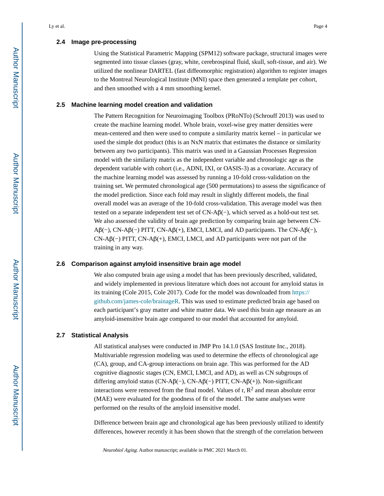#### **2.4 Image pre-processing**

Using the Statistical Parametric Mapping (SPM12) software package, structural images were segmented into tissue classes (gray, white, cerebrospinal fluid, skull, soft-tissue, and air). We utilized the nonlinear DARTEL (fast diffeomorphic registration) algorithm to register images to the Montreal Neurological Institute (MNI) space then generated a template per cohort, and then smoothed with a 4 mm smoothing kernel.

#### **2.5 Machine learning model creation and validation**

The Pattern Recognition for Neuroimaging Toolbox (PRoNTo) (Schrouff 2013) was used to create the machine learning model. Whole brain, voxel-wise grey matter densities were mean-centered and then were used to compute a similarity matrix kernel – in particular we used the simple dot product (this is an NxN matrix that estimates the distance or similarity between any two participants). This matrix was used in a Gaussian Processes Regression model with the similarity matrix as the independent variable and chronologic age as the dependent variable with cohort (i.e., ADNI, IXI, or OASIS-3) as a covariate. Accuracy of the machine learning model was assessed by running a 10-fold cross-validation on the training set. We permuted chronological age (500 permutations) to assess the significance of the model prediction. Since each fold may result in slightly different models, the final overall model was an average of the 10-fold cross-validation. This average model was then tested on a separate independent test set of  $CN-A\beta(-)$ , which served as a hold-out test set. We also assessed the validity of brain age prediction by comparing brain age between CN-Aβ(−), CN-Aβ(−) PITT, CN-Aβ(+), EMCI, LMCI, and AD participants. The CN-Aβ(−), CN-Aβ(−) PITT, CN-Aβ(+), EMCI, LMCI, and AD participants were not part of the training in any way.

#### **2.6 Comparison against amyloid insensitive brain age model**

We also computed brain age using a model that has been previously described, validated, and widely implemented in previous literature which does not account for amyloid status in its training (Cole 2015, Cole 2017). Code for the model was downloaded from [https://](https://github.com/james-cole/brainageR) [github.com/james-cole/brainageR.](https://github.com/james-cole/brainageR) This was used to estimate predicted brain age based on each participant's gray matter and white matter data. We used this brain age measure as an amyloid-insensitive brain age compared to our model that accounted for amyloid.

#### **2.7 Statistical Analysis**

All statistical analyses were conducted in JMP Pro 14.1.0 (SAS Institute Inc., 2018). Multivariable regression modeling was used to determine the effects of chronological age (CA), group, and CA-group interactions on brain age. This was performed for the AD cognitive diagnostic stages (CN, EMCI, LMCI, and AD), as well as CN subgroups of differing amyloid status (CN-Aβ(−), CN-Aβ(−) PITT, CN-Aβ(+)). Non-significant interactions were removed from the final model. Values of  $r$ ,  $\mathbb{R}^2$  and mean absolute error (MAE) were evaluated for the goodness of fit of the model. The same analyses were performed on the results of the amyloid insensitive model.

Difference between brain age and chronological age has been previously utilized to identify differences, however recently it has been shown that the strength of the correlation between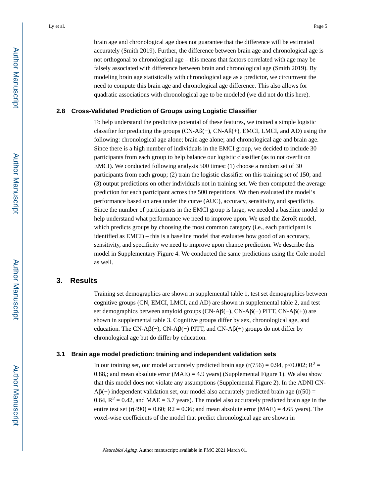brain age and chronological age does not guarantee that the difference will be estimated accurately (Smith 2019). Further, the difference between brain age and chronological age is not orthogonal to chronological age – this means that factors correlated with age may be falsely associated with difference between brain and chronological age (Smith 2019). By modeling brain age statistically with chronological age as a predictor, we circumvent the need to compute this brain age and chronological age difference. This also allows for quadratic associations with chronological age to be modeled (we did not do this here).

#### **2.8 Cross-Validated Prediction of Groups using Logistic Classifier**

To help understand the predictive potential of these features, we trained a simple logistic classifier for predicting the groups (CN-Aß(−), CN-Aß(+), EMCI, LMCI, and AD) using the following: chronological age alone; brain age alone; and chronological age and brain age. Since there is a high number of individuals in the EMCI group, we decided to include 30 participants from each group to help balance our logistic classifier (as to not overfit on EMCI). We conducted following analysis 500 times: (1) choose a random set of 30 participants from each group; (2) train the logistic classifier on this training set of 150; and (3) output predictions on other individuals not in training set. We then computed the average prediction for each participant across the 500 repetitions. We then evaluated the model's performance based on area under the curve (AUC), accuracy, sensitivity, and specificity. Since the number of participants in the EMCI group is large, we needed a baseline model to help understand what performance we need to improve upon. We used the ZeroR model, which predicts groups by choosing the most common category (i.e., each participant is identified as EMCI) – this is a baseline model that evaluates how good of an accuracy, sensitivity, and specificity we need to improve upon chance prediction. We describe this model in Supplementary Figure 4. We conducted the same predictions using the Cole model as well.

## **3. Results**

Training set demographics are shown in supplemental table 1, test set demographics between cognitive groups (CN, EMCI, LMCI, and AD) are shown in supplemental table 2, and test set demographics between amyloid groups (CN-Aβ(−), CN-Aβ(−) PITT, CN-Aβ(+)) are shown in supplemental table 3. Cognitive groups differ by sex, chronological age, and education. The CN-Aβ(−), CN-Aβ(−) PITT, and CN-Aβ(+) groups do not differ by chronological age but do differ by education.

#### **3.1 Brain age model prediction: training and independent validation sets**

In our training set, our model accurately predicted brain age ( $r(756) = 0.94$ ,  $p<0.002$ ;  $R^2 =$ 0.88,; and mean absolute error  $(MAE) = 4.9$  years) (Supplemental Figure 1). We also show that this model does not violate any assumptions (Supplemental Figure 2). In the ADNI CN- $\text{A}\beta$ (–) independent validation set, our model also accurately predicted brain age (r(50) = 0.64,  $R^2 = 0.42$ , and MAE = 3.7 years). The model also accurately predicted brain age in the entire test set  $(r(490) = 0.60; R2 = 0.36;$  and mean absolute error  $(MAE) = 4.65$  years). The voxel-wise coefficients of the model that predict chronological age are shown in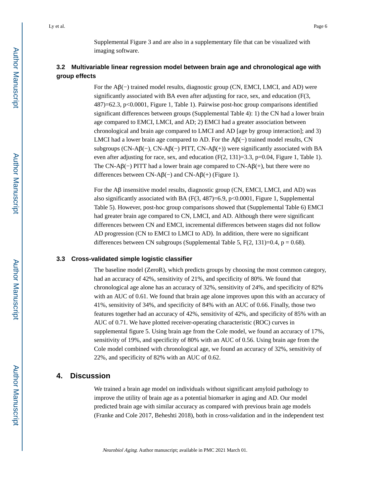Supplemental Figure 3 and are also in a supplementary file that can be visualized with imaging software.

#### **3.2 Multivariable linear regression model between brain age and chronological age with group effects**

For the Aβ(−) trained model results, diagnostic group (CN, EMCI, LMCI, and AD) were significantly associated with BA even after adjusting for race, sex, and education (F(3, 487)=62.3, p<0.0001, Figure 1, Table 1). Pairwise post-hoc group comparisons identified significant differences between groups (Supplemental Table 4): 1) the CN had a lower brain age compared to EMCI, LMCI, and AD; 2) EMCI had a greater association between chronological and brain age compared to LMCI and AD [age by group interaction]; and 3) LMCI had a lower brain age compared to AD. For the  $\mathsf{A}\mathsf{B}(-)$  trained model results, CN subgroups (CN-Aβ(−), CN-Aβ(−) PITT, CN-Aβ(+)) were significantly associated with BA even after adjusting for race, sex, and education  $(F(2, 131)=3.3, p=0.04,$  Figure 1, Table 1). The CN-Aβ(−) PITT had a lower brain age compared to CN-Aβ(+), but there were no differences between CN-A $\beta$ (−) and CN-A $\beta$ (+) (Figure 1).

For the Aβ insensitive model results, diagnostic group (CN, EMCI, LMCI, and AD) was also significantly associated with BA (F(3, 487)=6.9, p<0.0001, Figure 1, Supplemental Table 5). However, post-hoc group comparisons showed that (Supplemental Table 6) EMCI had greater brain age compared to CN, LMCI, and AD. Although there were significant differences between CN and EMCI, incremental differences between stages did not follow AD progression (CN to EMCI to LMCI to AD). In addition, there were no significant differences between CN subgroups (Supplemental Table 5,  $F(2, 131)=0.4$ ,  $p = 0.68$ ).

#### **3.3 Cross-validated simple logistic classifier**

The baseline model (ZeroR), which predicts groups by choosing the most common category, had an accuracy of 42%, sensitivity of 21%, and specificity of 80%. We found that chronological age alone has an accuracy of 32%, sensitivity of 24%, and specificity of 82% with an AUC of 0.61. We found that brain age alone improves upon this with an accuracy of 41%, sensitivity of 34%, and specificity of 84% with an AUC of 0.66. Finally, those two features together had an accuracy of 42%, sensitivity of 42%, and specificity of 85% with an AUC of 0.71. We have plotted receiver-operating characteristic (ROC) curves in supplemental figure 5. Using brain age from the Cole model, we found an accuracy of 17%, sensitivity of 19%, and specificity of 80% with an AUC of 0.56. Using brain age from the Cole model combined with chronological age, we found an accuracy of 32%, sensitivity of 22%, and specificity of 82% with an AUC of 0.62.

## **4. Discussion**

We trained a brain age model on individuals without significant amyloid pathology to improve the utility of brain age as a potential biomarker in aging and AD. Our model predicted brain age with similar accuracy as compared with previous brain age models (Franke and Cole 2017, Beheshti 2018), both in cross-validation and in the independent test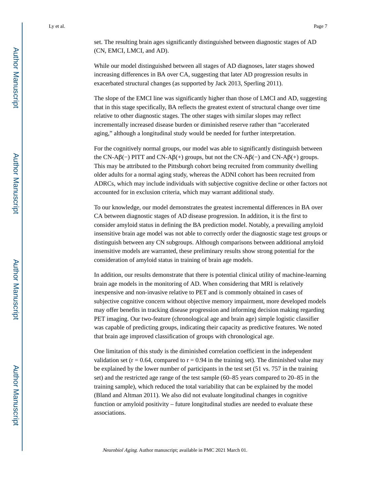While our model distinguished between all stages of AD diagnoses, later stages showed increasing differences in BA over CA, suggesting that later AD progression results in exacerbated structural changes (as supported by Jack 2013, Sperling 2011).

The slope of the EMCI line was significantly higher than those of LMCI and AD, suggesting that in this stage specifically, BA reflects the greatest extent of structural change over time relative to other diagnostic stages. The other stages with similar slopes may reflect incrementally increased disease burden or diminished reserve rather than "accelerated aging," although a longitudinal study would be needed for further interpretation.

For the cognitively normal groups, our model was able to significantly distinguish between the CN-Aβ(−) PITT and CN-Aβ(+) groups, but not the CN-Aβ(−) and CN-Aβ(+) groups. This may be attributed to the Pittsburgh cohort being recruited from community dwelling older adults for a normal aging study, whereas the ADNI cohort has been recruited from ADRCs, which may include individuals with subjective cognitive decline or other factors not accounted for in exclusion criteria, which may warrant additional study.

To our knowledge, our model demonstrates the greatest incremental differences in BA over CA between diagnostic stages of AD disease progression. In addition, it is the first to consider amyloid status in defining the BA prediction model. Notably, a prevailing amyloid insensitive brain age model was not able to correctly order the diagnostic stage test groups or distinguish between any CN subgroups. Although comparisons between additional amyloid insensitive models are warranted, these preliminary results show strong potential for the consideration of amyloid status in training of brain age models.

In addition, our results demonstrate that there is potential clinical utility of machine-learning brain age models in the monitoring of AD. When considering that MRI is relatively inexpensive and non-invasive relative to PET and is commonly obtained in cases of subjective cognitive concern without objective memory impairment, more developed models may offer benefits in tracking disease progression and informing decision making regarding PET imaging. Our two-feature (chronological age and brain age) simple logistic classifier was capable of predicting groups, indicating their capacity as predictive features. We noted that brain age improved classification of groups with chronological age.

One limitation of this study is the diminished correlation coefficient in the independent validation set ( $r = 0.64$ , compared to  $r = 0.94$  in the training set). The diminished value may be explained by the lower number of participants in the test set (51 vs. 757 in the training set) and the restricted age range of the test sample (60–85 years compared to 20–85 in the training sample), which reduced the total variability that can be explained by the model (Bland and Altman 2011). We also did not evaluate longitudinal changes in cognitive function or amyloid positivity – future longitudinal studies are needed to evaluate these associations.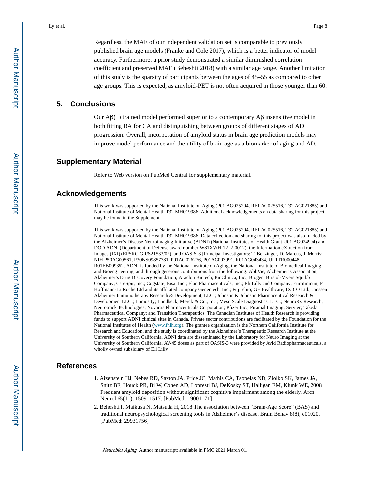Regardless, the MAE of our independent validation set is comparable to previously published brain age models (Franke and Cole 2017), which is a better indicator of model accuracy. Furthermore, a prior study demonstrated a similar diminished correlation coefficient and preserved MAE (Beheshti 2018) with a similar age range. Another limitation of this study is the sparsity of participants between the ages of 45–55 as compared to other age groups. This is expected, as amyloid-PET is not often acquired in those younger than 60.

### **5. Conclusions**

Our  $\text{A}β$ (−) trained model performed superior to a contemporary  $\text{A}β$  insensitive model in both fitting BA for CA and distinguishing between groups of different stages of AD progression. Overall, incorporation of amyloid status in brain age prediction models may improve model performance and the utility of brain age as a biomarker of aging and AD.

#### **Supplementary Material**

Refer to Web version on PubMed Central for supplementary material.

#### **Acknowledgements**

This work was supported by the National Institute on Aging (P01 AG025204, RF1 AG025516, T32 AG021885) and National Institute of Mental Health T32 MH019986. Additional acknowledgements on data sharing for this project may be found in the Supplement.

This work was supported by the National Institute on Aging (P01 AG025204, RF1 AG025516, T32 AG021885) and National Institute of Mental Health T32 MH019986. Data collection and sharing for this project was also funded by the Alzheimer's Disease Neuroimaging Initiative (ADNI) (National Institutes of Health Grant U01 AG024904) and DOD ADNI (Department of Defense award number W81XWH-12–2-0012), the Information eXtraction from Images (IXI) (EPSRC GR/S21533/02), and OASIS-3 [Principal Investigators: T. Benzinger, D. Marcus, J. Morris; NIH P50AG00561, P30NS09857781, P01AG026276, P01AG003991, R01AG043434, UL1TR000448, R01EB009352. ADNI is funded by the National Institute on Aging, the National Institute of Biomedical Imaging and Bioengineering, and through generous contributions from the following: AbbVie, Alzheimer's Association; Alzheimer's Drug Discovery Foundation; Araclon Biotech; BioClinica, Inc.; Biogen; Bristol-Myers Squibb Company; CereSpir, Inc.; Cogstate; Eisai Inc.; Elan Pharmaceuticals, Inc.; Eli Lilly and Company; EuroImmun; F. Hoffmann-La Roche Ltd and its affiliated company Genentech, Inc.; Fujirebio; GE Healthcare; IXICO Ltd.; Janssen Alzheimer Immunotherapy Research & Development, LLC.; Johnson & Johnson Pharmaceutical Research & Development LLC.; Lumosity; Lundbeck; Merck & Co., Inc.; Meso Scale Diagnostics, LLC.; NeuroRx Research; Neurotrack Technologies; Novartis Pharmaceuticals Corporation; Pfizer Inc.; Piramal Imaging; Servier; Takeda Pharmaceutical Company; and Transition Therapeutics. The Canadian Institutes of Health Research is providing funds to support ADNI clinical sites in Canada. Private sector contributions are facilitated by the Foundation for the National Institutes of Health ([www.fnih.org\)](http://www.fnih.org/). The grantee organization is the Northern California Institute for Research and Education, and the study is coordinated by the Alzheimer's Therapeutic Research Institute at the University of Southern California. ADNI data are disseminated by the Laboratory for Neuro Imaging at the University of Southern California. AV-45 doses as part of OASIS-3 were provided by Avid Radiopharmaceuticals, a wholly owned subsidiary of Eli Lilly.

#### **References**

- 1. Aizenstein HJ, Nebes RD, Saxton JA, Price JC, Mathis CA, Tsopelas ND, Ziolko SK, James JA, Snitz BE, Houck PR, Bi W, Cohen AD, Lopresti BJ, DeKosky ST, Halligan EM, Klunk WE, 2008 Frequent amyloid deposition without significant cognitive impairment among the elderly. Arch Neurol 65(11), 1509–1517. [PubMed: 19001171]
- 2. Beheshti I, Maikusa N, Matsuda H, 2018 The association between "Brain-Age Score" (BAS) and traditional neuropsychological screening tools in Alzheimer's disease. Brain Behav 8(8), e01020. [PubMed: 29931756]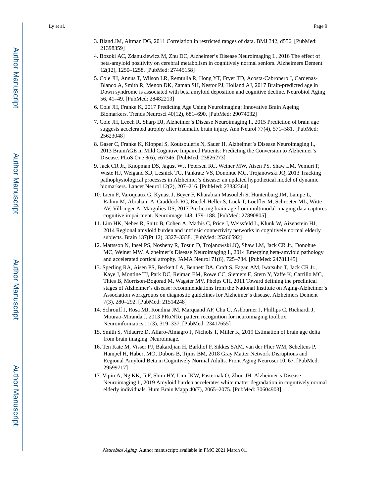- 3. Bland JM, Altman DG, 2011 Correlation in restricted ranges of data. BMJ 342, d556. [PubMed: 21398359]
- 4. Bozoki AC, Zdanukiewicz M, Zhu DC, Alzheimer's Disease Neuroimaging I., 2016 The effect of beta-amyloid positivity on cerebral metabolism in cognitively normal seniors. Alzheimers Dement 12(12), 1250–1258. [PubMed: 27445158]
- 5. Cole JH, Annus T, Wilson LR, Remtulla R, Hong YT, Fryer TD, Acosta-Cabronero J, Cardenas-Blanco A, Smith R, Menon DK, Zaman SH, Nestor PJ, Holland AJ, 2017 Brain-predicted age in Down syndrome is associated with beta amyloid deposition and cognitive decline. Neurobiol Aging 56, 41–49. [PubMed: 28482213]
- 6. Cole JH, Franke K, 2017 Predicting Age Using Neuroimaging: Innovative Brain Ageing Biomarkers. Trends Neurosci 40(12), 681–690. [PubMed: 29074032]
- 7. Cole JH, Leech R, Sharp DJ, Alzheimer's Disease Neuroimaging I., 2015 Prediction of brain age suggests accelerated atrophy after traumatic brain injury. Ann Neurol 77(4), 571–581. [PubMed: 25623048]
- 8. Gaser C, Franke K, Kloppel S, Koutsouleris N, Sauer H, Alzheimer's Disease Neuroimaging I., 2013 BrainAGE in Mild Cognitive Impaired Patients: Predicting the Conversion to Alzheimer's Disease. PLoS One 8(6), e67346. [PubMed: 23826273]
- 9. Jack CR Jr., Knopman DS, Jagust WJ, Petersen RC, Weiner MW, Aisen PS, Shaw LM, Vemuri P, Wiste HJ, Weigand SD, Lesnick TG, Pankratz VS, Donohue MC, Trojanowski JQ, 2013 Tracking pathophysiological processes in Alzheimer's disease: an updated hypothetical model of dynamic biomarkers. Lancet Neurol 12(2), 207–216. [PubMed: 23332364]
- 10. Liem F, Varoquaux G, Kynast J, Beyer F, Kharabian Masouleh S, Huntenburg JM, Lampe L, Rahim M, Abraham A, Craddock RC, Riedel-Heller S, Luck T, Loeffler M, Schroeter ML, Witte AV, Villringer A, Margulies DS, 2017 Predicting brain-age from multimodal imaging data captures cognitive impairment. Neuroimage 148, 179–188. [PubMed: 27890805]
- 11. Lim HK, Nebes R, Snitz B, Cohen A, Mathis C, Price J, Weissfeld L, Klunk W, Aizenstein HJ, 2014 Regional amyloid burden and intrinsic connectivity networks in cognitively normal elderly subjects. Brain 137(Pt 12), 3327–3338. [PubMed: 25266592]
- 12. Mattsson N, Insel PS, Nosheny R, Tosun D, Trojanowski JQ, Shaw LM, Jack CR Jr., Donohue MC, Weiner MW, Alzheimer's Disease Neuroimaging I., 2014 Emerging beta-amyloid pathology and accelerated cortical atrophy. JAMA Neurol 71(6), 725–734. [PubMed: 24781145]
- 13. Sperling RA, Aisen PS, Beckett LA, Bennett DA, Craft S, Fagan AM, Iwatsubo T, Jack CR Jr., Kaye J, Montine TJ, Park DC, Reiman EM, Rowe CC, Siemers E, Stern Y, Yaffe K, Carrillo MC, Thies B, Morrison-Bogorad M, Wagster MV, Phelps CH, 2011 Toward defining the preclinical stages of Alzheimer's disease: recommendations from the National Institute on Aging-Alzheimer's Association workgroups on diagnostic guidelines for Alzheimer's disease. Alzheimers Dement 7(3), 280–292. [PubMed: 21514248]
- 14. Schrouff J, Rosa MJ, Rondina JM, Marquand AF, Chu C, Ashburner J, Phillips C, Richiardi J, Mourao-Miranda J, 2013 PRoNTo: pattern recognition for neuroimaging toolbox. Neuroinformatics 11(3), 319–337. [PubMed: 23417655]
- 15. Smith S, Vidaurre D, Alfaro-Almagro F, Nichols T, Miller K, 2019 Estimation of brain age delta from brain imaging. Neuroimage.
- 16. Ten Kate M, Visser PJ, Bakardjian H, Barkhof F, Sikkes SAM, van der Flier WM, Scheltens P, Hampel H, Habert MO, Dubois B, Tijms BM, 2018 Gray Matter Network Disruptions and Regional Amyloid Beta in Cognitively Normal Adults. Front Aging Neurosci 10, 67. [PubMed: 29599717]
- 17. Vipin A, Ng KK, Ji F, Shim HY, Lim JKW, Pasternak O, Zhou JH, Alzheimer's Disease Neuroimaging I., 2019 Amyloid burden accelerates white matter degradation in cognitively normal elderly individuals. Hum Brain Mapp 40(7), 2065–2075. [PubMed: 30604903]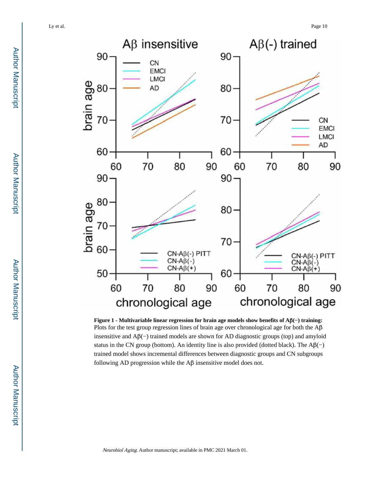



**Figure 1 - Multivariable linear regression for brain age models show benefits of A**β**(−) training:** Plots for the test group regression lines of brain age over chronological age for both the Aβ insensitive and  $\text{A}\beta$ (–) trained models are shown for AD diagnostic groups (top) and amyloid status in the CN group (bottom). An identity line is also provided (dotted black). The  $\mathsf{A}\beta$ (−) trained model shows incremental differences between diagnostic groups and CN subgroups following AD progression while the Aβ insensitive model does not.